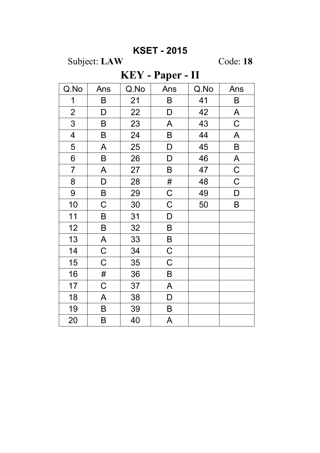## **KSET - 2015**

Subject: LAW

Code: 18

## KEY - Paper - II

| Q.No                    | Ans         | Q.No | Ans         | Q.No | Ans          |
|-------------------------|-------------|------|-------------|------|--------------|
| 1                       | B           | 21   | B           | 41   | B            |
| $\mathbf{2}$            | D           | 22   | D           | 42   | A            |
| 3                       | $\sf B$     | 23   | A           | 43   | $\mathsf C$  |
| $\overline{\mathbf{4}}$ | B           | 24   | B           | 44   | A            |
| 5                       | A           | 25   | D           | 45   | $\mathsf B$  |
| 6                       | B           | 26   | D           | 46   | $\mathsf{A}$ |
| $\overline{7}$          | A           | 27   | B           | 47   | $\mathsf C$  |
| 8                       | D           | 28   | #           | 48   | $\mathsf C$  |
| 9                       | B           | 29   | $\mathsf C$ | 49   | D            |
| 10                      | $\mathsf C$ | 30   | $\mathsf C$ | 50   | B            |
| 11                      | B           | 31   | $\mathsf D$ |      |              |
| 12                      | B           | 32   | B           |      |              |
| 13                      | A           | 33   | B           |      |              |
| 14                      | $\mathsf C$ | 34   | $\mathsf C$ |      |              |
| 15                      | $\mathsf C$ | 35   | $\mathsf C$ |      |              |
| 16                      | #           | 36   | B           |      |              |
| 17                      | C           | 37   | A           |      |              |
| 18                      | A           | 38   | D           |      |              |
| 19                      | B           | 39   | B           |      |              |
| 20                      | B           | 40   | A           |      |              |